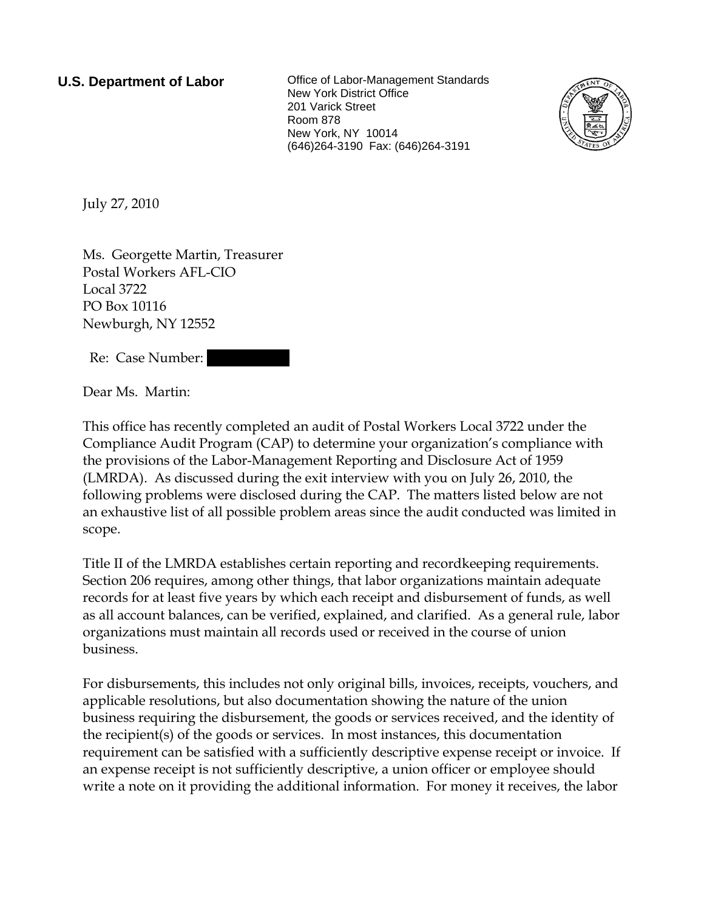**U.S. Department of Labor Collect** Office of Labor-Management Standards New York District Office 201 Varick Street Room 878 New York, NY 10014 (646)264-3190 Fax: (646)264-3191



July 27, 2010

Ms. Georgette Martin, Treasurer Postal Workers AFL-CIO Local 3722 PO Box 10116 Newburgh, NY 12552

Re: Case Number:

Dear Ms. Martin:

This office has recently completed an audit of Postal Workers Local 3722 under the Compliance Audit Program (CAP) to determine your organization's compliance with the provisions of the Labor-Management Reporting and Disclosure Act of 1959 (LMRDA). As discussed during the exit interview with you on July 26, 2010, the following problems were disclosed during the CAP. The matters listed below are not an exhaustive list of all possible problem areas since the audit conducted was limited in scope.

Title II of the LMRDA establishes certain reporting and recordkeeping requirements. Section 206 requires, among other things, that labor organizations maintain adequate records for at least five years by which each receipt and disbursement of funds, as well as all account balances, can be verified, explained, and clarified. As a general rule, labor organizations must maintain all records used or received in the course of union business.

For disbursements, this includes not only original bills, invoices, receipts, vouchers, and applicable resolutions, but also documentation showing the nature of the union business requiring the disbursement, the goods or services received, and the identity of the recipient(s) of the goods or services. In most instances, this documentation requirement can be satisfied with a sufficiently descriptive expense receipt or invoice. If an expense receipt is not sufficiently descriptive, a union officer or employee should write a note on it providing the additional information. For money it receives, the labor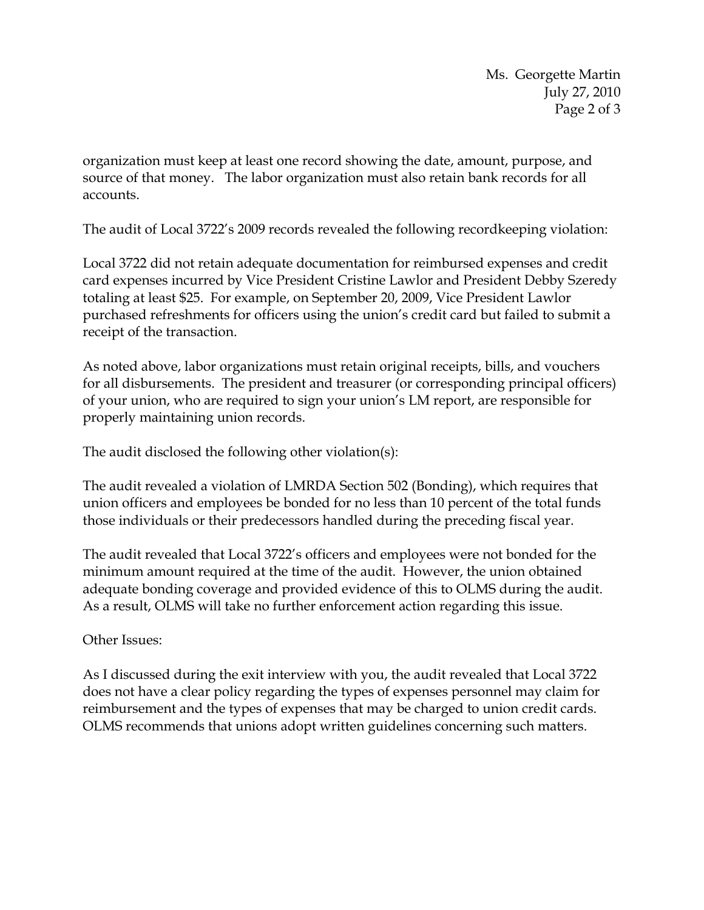Ms. Georgette Martin July 27, 2010 Page 2 of 3

organization must keep at least one record showing the date, amount, purpose, and source of that money. The labor organization must also retain bank records for all accounts.

The audit of Local 3722's 2009 records revealed the following recordkeeping violation:

Local 3722 did not retain adequate documentation for reimbursed expenses and credit card expenses incurred by Vice President Cristine Lawlor and President Debby Szeredy totaling at least \$25. For example, on September 20, 2009, Vice President Lawlor purchased refreshments for officers using the union's credit card but failed to submit a receipt of the transaction.

As noted above, labor organizations must retain original receipts, bills, and vouchers for all disbursements. The president and treasurer (or corresponding principal officers) of your union, who are required to sign your union's LM report, are responsible for properly maintaining union records.

The audit disclosed the following other violation(s):

The audit revealed a violation of LMRDA Section 502 (Bonding), which requires that union officers and employees be bonded for no less than 10 percent of the total funds those individuals or their predecessors handled during the preceding fiscal year.

The audit revealed that Local 3722's officers and employees were not bonded for the minimum amount required at the time of the audit. However, the union obtained adequate bonding coverage and provided evidence of this to OLMS during the audit. As a result, OLMS will take no further enforcement action regarding this issue.

## Other Issues:

As I discussed during the exit interview with you, the audit revealed that Local 3722 does not have a clear policy regarding the types of expenses personnel may claim for reimbursement and the types of expenses that may be charged to union credit cards. OLMS recommends that unions adopt written guidelines concerning such matters.